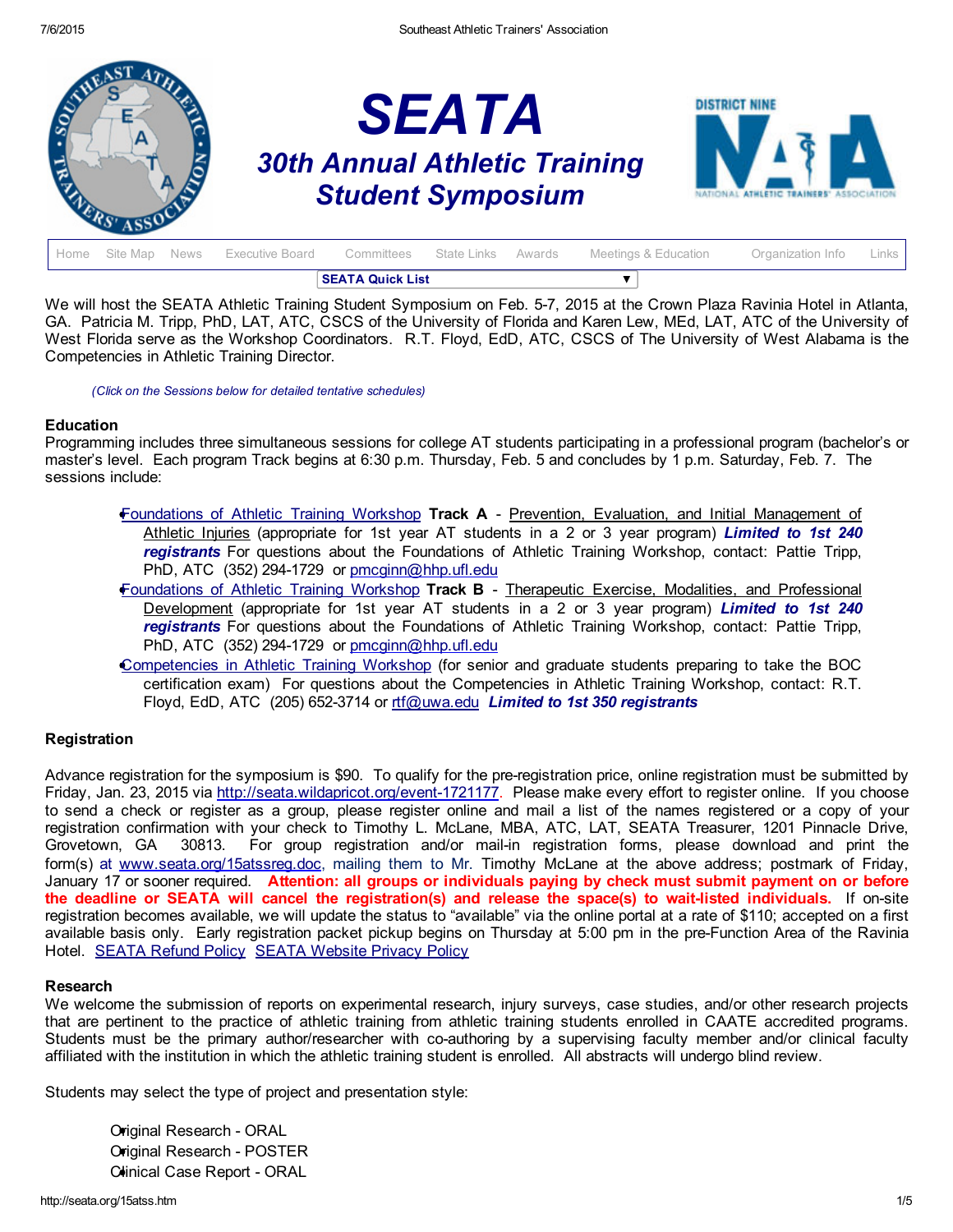

| <b>SEATA Quick List</b> |  |  |                                                                  |  |  |  |                      |                         |  |
|-------------------------|--|--|------------------------------------------------------------------|--|--|--|----------------------|-------------------------|--|
|                         |  |  | Home Site Map News Executive Board Committees State Links Awards |  |  |  | Meetings & Education | Organization Info Links |  |

We will host the SEATA Athletic Training Student Symposium on Feb. 57, 2015 at the Crown Plaza Ravinia Hotel in Atlanta, GA. Patricia M. Tripp, PhD, LAT, ATC, CSCS of the University of Florida and Karen Lew, MEd, LAT, ATC of the University of West Florida serve as the Workshop Coordinators. R.T. Floyd, EdD, ATC, CSCS of The University of West Alabama is the Competencies in Athletic Training Director.

*(Click on the Sessions below for detailed tentative schedules)*

#### **Education**

Programming includes three simultaneous sessions for college AT students participating in a professional program (bachelor's or master's level. Each program Track begins at 6:30 p.m. Thursday, Feb. 5 and concludes by 1 p.m. Saturday, Feb. 7. The sessions include:

- [Foundations](#page-1-0) of Athletic Training Workshop Track A Prevention, Evaluation, and Initial Management of Athletic Injuries (appropriate for 1st year AT students in a 2 or 3 year program) *Limited to 1st 240 registrants* For questions about the Foundations of Athletic Training Workshop, contact: Pattie Tripp, PhD, ATC (352) 294-1729 or [pmcginn@hhp.ufl.edu](mailto:pmcginn@hhp.ufl.edu)
- [Foundations](#page-1-0) of Athletic Training Workshop Track B Therapeutic Exercise, Modalities, and Professional Development (appropriate for 1st year AT students in a 2 or 3 year program) *Limited to 1st 240 registrants* For questions about the Foundations of Athletic Training Workshop, contact: Pattie Tripp, PhD, ATC (352) 294-1729 or [pmcginn@hhp.ufl.edu](mailto:pmcginn@hhp.ufl.edu)
- [Competencies](#page-3-0) in Athletic Training Workshop (for senior and graduate students preparing to take the BOC certification exam) For questions about the Competencies in Athletic Training Workshop, contact: R.T. Floyd, EdD, ATC (205) 6523714 or [rtf@uwa.edu](mailto:rtf@uwa.edu) *Limited to 1st 350 registrants*

# **Registration**

Advance registration for the symposium is \$90. To qualify for the pre-registration price, online registration must be submitted by Friday, Jan. 23, 2015 via http://seata.wildapricot.org/event-1721177. Please make every effort to register online. If you choose to send a check or register as a group, please register online and mail a list of the names registered or a copy of your registration confirmation with your check to Timothy L. McLane, MBA, ATC, LAT, SEATA Treasurer, 1201 Pinnacle Drive, Grovetown, GA 30813. For group registration and/or mail-in registration forms, please download and print the form(s) at [www.seata.org/15atssreg.doc,](http://www.seata.org/15atssreg.doc) mailing them to Mr. Timothy McLane at the above address; postmark of Friday, January 17 or sooner required. Attention: all groups or individuals paying by check must submit payment on or before the deadline or SEATA will cancel the registration(s) and release the space(s) to wait-listed individuals. If on-site registration becomes available, we will update the status to "available" via the online portal at a rate of \$110; accepted on a first available basis only. Early registration packet pickup begins on Thursday at 5:00 pm in the pre-Function Area of the Ravinia Hotel. [SEATA](http://seata.org/refund.htm) Refund Policy SEATA [Website](http://seata.org/privacy.htm) Privacy Policy

# Research

We welcome the submission of reports on experimental research, injury surveys, case studies, and/or other research projects that are pertinent to the practice of athletic training from athletic training students enrolled in CAATE accredited programs. Students must be the primary author/researcher with co-authoring by a supervising faculty member and/or clinical faculty affiliated with the institution in which the athletic training student is enrolled. All abstracts will undergo blind review.

Students may select the type of project and presentation style:

Original Research - ORAL Original Research POSTER Clinical Case Report - ORAL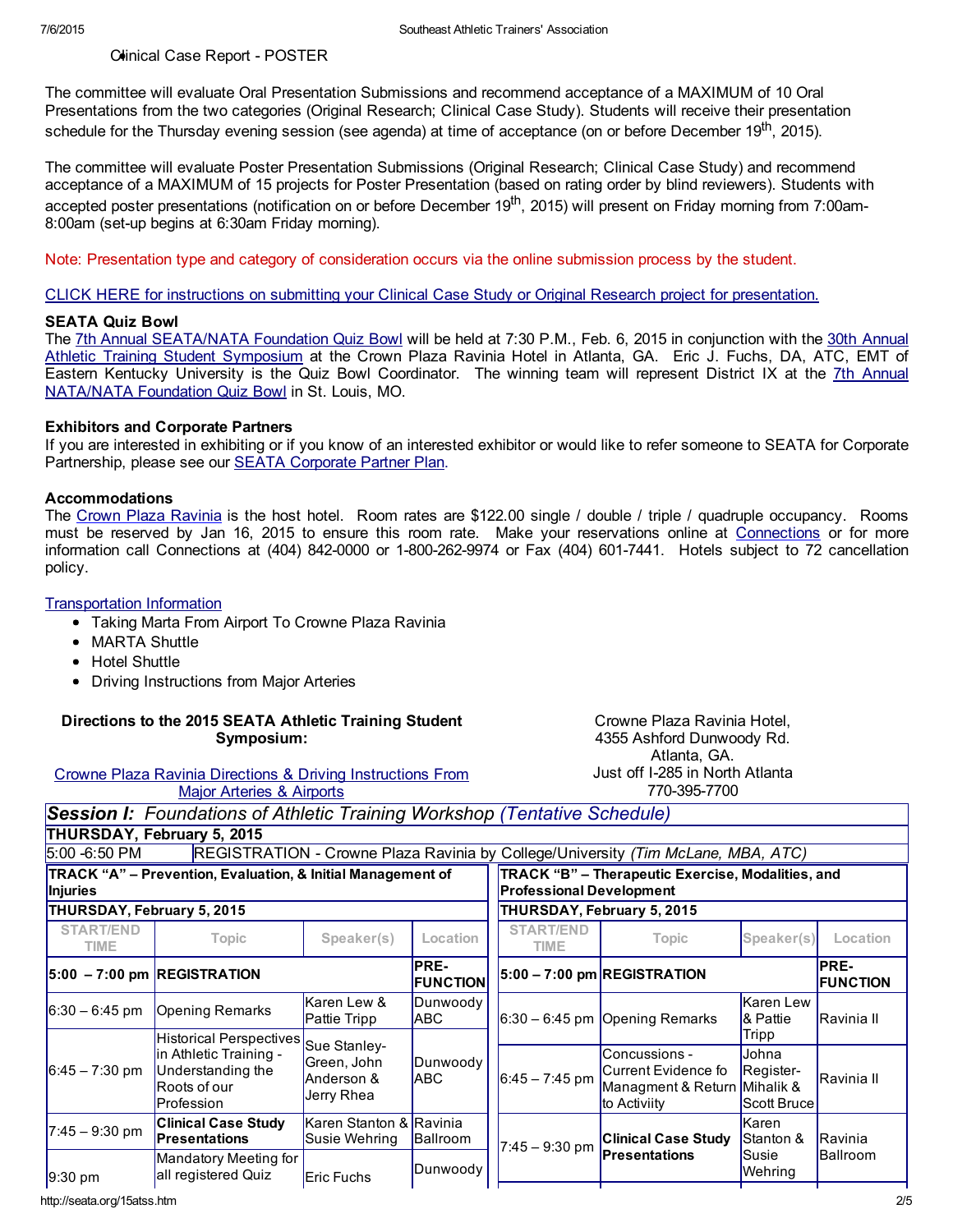Clinical Case Report - POSTER

The committee will evaluate Oral Presentation Submissions and recommend acceptance of a MAXIMUM of 10 Oral Presentations from the two categories (Original Research; Clinical Case Study). Students will receive their presentation schedule for the Thursday evening session (see agenda) at time of acceptance (on or before December 19<sup>th</sup>, 2015).

The committee will evaluate Poster Presentation Submissions (Original Research; Clinical Case Study) and recommend acceptance of a MAXIMUM of 15 projects for Poster Presentation (based on rating order by blind reviewers). Students with accepted poster presentations (notification on or before December 19<sup>th</sup>, 2015) will present on Friday morning from 7:00am-8:00am (set-up begins at 6:30am Friday morning).

Note: Presentation type and category of consideration occurs via the online submission process by the student.

CLICK HERE for instructions on submitting your Clinical Case Study or Original Research project for [presentation.](http://seata.org/casestudy15.htm)

#### SEATA Quiz Bowl

The 7th Annual [SEATA/NATA](http://www.seata.org/15atss.htm) Foundation Quiz Bowl will be held at 7:30 P.M., Feb. 6, 2015 in conjunction with the 30th Annual Athletic Training Student Symposium at the Crown Plaza Ravinia Hotel in Atlanta, GA. Eric J. Fuchs, DA, ATC, EMT of Eastern Kentucky University is the Quiz Bowl Coordinator. The winning team will represent District IX at the 7th Annual [NATA/NATA](http://www.nata.org/students/college-athletic-training-students) Foundation Quiz Bowl in St. Louis, MO.

# Exhibitors and Corporate Partners

If you are interested in exhibiting or if you know of an interested exhibitor or would like to refer someone to SEATA for Corporate Partnership, please see our SEATA [Corporate](http://www.seata.org/cpp.htm) Partner Plan.

#### Accommodations

The Crown Plaza [Ravinia](https://resweb.passkey.com/go/21d65545) is the host hotel. Room rates are \$122.00 single / double / triple / quadruple occupancy. Rooms must be reserved by Jan 16, 2015 to ensure this room rate. Make your reservations online at [Connections](https://resweb.passkey.com/go/21d65545) or for more information call Connections at (404) 842-0000 or 1-800-262-9974 or Fax (404) 601-7441. Hotels subject to 72 cancellation policy.

#### [Transportation](http://seata.org/07atss/MARTAtoCrownePlazafromAirport.doc) Information

- Taking Marta From Airport To Crowne Plaza Ravinia
- MARTA Shuttle
- Hotel Shuttle
- Driving Instructions from Major Arteries

#### Directions to the 2015 SEATA Athletic Training Student Symposium:

Crowne Plaza Ravinia Directions & Driving [Instructions](http://www.seata.org/drivingairports.htm) From Major Arteries & Airports

Crowne Plaza Ravinia Hotel, 4355 Ashford Dunwoody Rd. Atlanta, GA. Just off I285 in North Atlanta 7703957700

<span id="page-1-0"></span>

| <b>Session I:</b> Foundations of Athletic Training Workshop (Tentative Schedule) |  |  |
|----------------------------------------------------------------------------------|--|--|
| THURSDAY, February 5, 2015                                                       |  |  |

| 5:00 -6:50 PM                  |                                                                                                              |                                                         |                                |                                 | REGISTRATION - Crowne Plaza Ravinia by College/University (Tim McLane, MBA, ATC)     |                                            |                         |  |
|--------------------------------|--------------------------------------------------------------------------------------------------------------|---------------------------------------------------------|--------------------------------|---------------------------------|--------------------------------------------------------------------------------------|--------------------------------------------|-------------------------|--|
| Injuries                       | TRACK "A" - Prevention, Evaluation, & Initial Management of                                                  |                                                         |                                | <b>Professional Development</b> | TRACK "B" - Therapeutic Exercise, Modalities, and                                    |                                            |                         |  |
| THURSDAY, February 5, 2015     |                                                                                                              |                                                         |                                | THURSDAY, February 5, 2015      |                                                                                      |                                            |                         |  |
| <b>START/END</b><br>TIME       | Topic                                                                                                        | Speaker(s)                                              | Location                       | <b>START/END</b><br>TIME        | Topic                                                                                | Speaker(s)                                 | Location                |  |
| $ 5:00 - 7:00$ pm REGISTRATION |                                                                                                              |                                                         | <b>PRE-</b><br><b>FUNCTION</b> |                                 | $ 5:00 - 7:00$ pm REGISTRATION                                                       |                                            | PRE-<br><b>FUNCTION</b> |  |
| $6:30 - 6:45$ pm               | <b>Opening Remarks</b>                                                                                       | Karen Lew &<br>Pattie Tripp                             | Dunwoody<br><b>ABC</b>         |                                 | $6:30 - 6:45$ pm Opening Remarks                                                     | Karen Lew<br>& Pattie                      | IRavinia II             |  |
| $6:45 - 7:30$ pm               | <b>Historical Perspectives</b><br>lin Athletic Training -<br>Understanding the<br>Roots of our<br>Profession | Sue Stanley-<br>Green, John<br>Anderson &<br>Jerry Rhea | Dunwoody<br><b>ABC</b>         | $6:45 - 7:45$ pm                | Concussions -<br>Current Evidence fo<br>Managment & Return Mihalik &<br>to Activiity | Tripp<br>Johna<br>Register-<br>Scott Bruce | Ravinia II              |  |
| $7:45 - 9:30$ pm               | <b>Clinical Case Study</b><br><b>Presentations</b>                                                           | Karen Stanton & Ravinia<br>Susie Wehring                | <b>Ballroom</b>                | $7:45 - 9:30$ pm                | <b>Clinical Case Study</b>                                                           | Karen<br>Stanton &                         | Ravinia                 |  |
| $9:30$ pm                      | Mandatory Meeting for<br>all registered Quiz                                                                 | <b>Eric Fuchs</b>                                       | Dunwoody                       |                                 | <b>Presentations</b>                                                                 | Susie<br>Wehring                           | <b>Ballroom</b>         |  |

http://seata.org/15atss.htm 2/5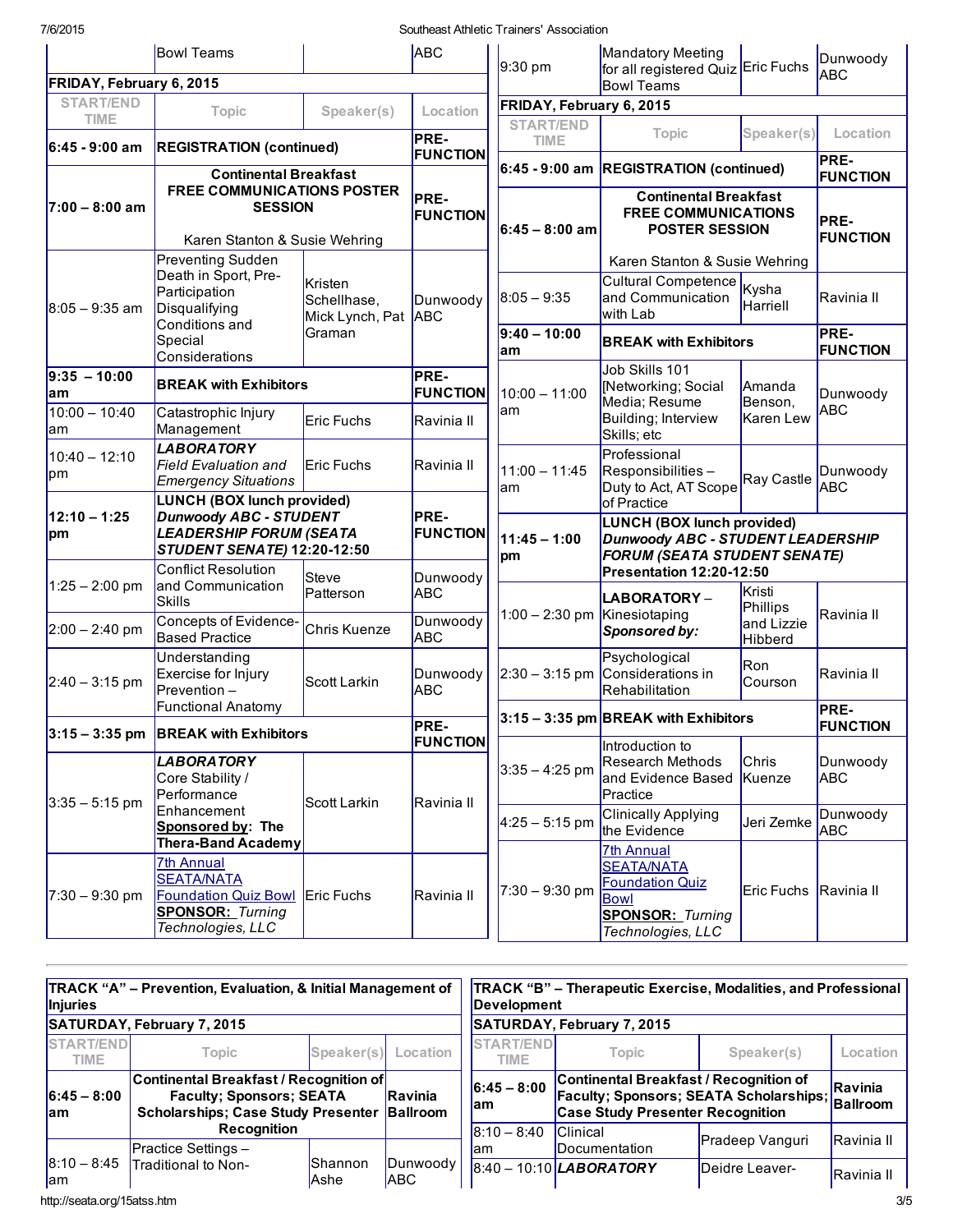7/6/2015 Southeast Athletic Trainers' Association

|                                 | <b>Bowl Teams</b>                                                                                                     |                                                                                                                                                                                                                            | <b>ABC</b>                           | 9:30 pm                                 | Mandatory Meeting<br>for all registered Quiz Eric Fuchs                                                                         |                                          | Dunwoody                       |
|---------------------------------|-----------------------------------------------------------------------------------------------------------------------|----------------------------------------------------------------------------------------------------------------------------------------------------------------------------------------------------------------------------|--------------------------------------|-----------------------------------------|---------------------------------------------------------------------------------------------------------------------------------|------------------------------------------|--------------------------------|
| FRIDAY, February 6, 2015        |                                                                                                                       |                                                                                                                                                                                                                            |                                      |                                         | <b>Bowl Teams</b>                                                                                                               |                                          | <b>ABC</b>                     |
| <b>START/END</b><br><b>TIME</b> | <b>Topic</b>                                                                                                          | Speaker(s)                                                                                                                                                                                                                 | Location                             | FRIDAY, February 6, 2015                |                                                                                                                                 |                                          |                                |
| 6:45 - 9:00 am                  | <b>REGISTRATION (continued)</b>                                                                                       |                                                                                                                                                                                                                            | PRE-<br><b>FUNCTION</b>              | <b>START/END</b><br><b>TIME</b>         | <b>Topic</b>                                                                                                                    | Speaker(s)                               | Location                       |
|                                 | <b>Continental Breakfast</b>                                                                                          |                                                                                                                                                                                                                            |                                      | 6:45 - 9:00 am REGISTRATION (continued) |                                                                                                                                 | PRE-<br><b>FUNCTION</b>                  |                                |
| l7:00 – 8:00 am                 |                                                                                                                       | <b>FREE COMMUNICATIONS POSTER</b><br><b>Continental Breakfast</b><br>PRE-<br><b>SESSION</b><br><b>FREE COMMUNICATIONS</b><br><b>FUNCTION</b><br>$6:45 - 8:00$ am<br><b>POSTER SESSION</b><br>Karen Stanton & Susie Wehring |                                      |                                         | PRE-<br><b>FUNCTION</b>                                                                                                         |                                          |                                |
|                                 | Preventing Sudden                                                                                                     |                                                                                                                                                                                                                            |                                      |                                         | Karen Stanton & Susie Wehring                                                                                                   |                                          |                                |
| $8:05 - 9:35$ am                | Death in Sport, Pre-<br>Participation<br>Disqualifying<br>Conditions and                                              | Kristen<br>Schellhase,<br>Mick Lynch, Pat                                                                                                                                                                                  | Dunwoody<br><b>ABC</b>               | $8:05 - 9:35$<br>$9:40 - 10:00$         | Cultural Competence<br>and Communication<br>with Lab                                                                            | Kysha<br>Harriell                        | Ravinia II                     |
|                                 | Special<br>Considerations                                                                                             | Graman                                                                                                                                                                                                                     |                                      | lam                                     | <b>BREAK with Exhibitors</b>                                                                                                    |                                          | PRE-<br><b>FUNCTION</b>        |
| $9:35 - 10:00$<br>am            | <b>BREAK with Exhibitors</b>                                                                                          |                                                                                                                                                                                                                            | PRE-<br><b>FUNCTION</b>              | $10:00 - 11:00$                         | Job Skills 101<br>[Networking; Social<br>Media; Resume                                                                          | Amanda<br>Benson,                        | Dunwoody                       |
| $10:00 - 10:40$<br>am           | Catastrophic Injury<br>Management                                                                                     | Eric Fuchs                                                                                                                                                                                                                 | Ravinia II                           | lam                                     | Building; Interview<br>Skills; etc                                                                                              | <b>Karen Lew</b>                         | <b>ABC</b>                     |
| $10:40 - 12:10$<br>pm           | <b>LABORATORY</b><br><b>Field Evaluation and</b><br><b>Emergency Situations</b><br>LUNCH (BOX lunch provided)         | Eric Fuchs                                                                                                                                                                                                                 | Ravinia II                           | $11:00 - 11:45$<br>lam                  | Professional<br>Responsibilities-<br>Duty to Act, AT Scope<br>of Practice                                                       | Ray Castle                               | Dunwoody<br>ABC                |
| $12:10 - 1:25$<br>pm            | <b>Dunwoody ABC - STUDENT</b><br><b>LEADERSHIP FORUM (SEATA</b><br>STUDENT SENATE) 12:20-12:50                        |                                                                                                                                                                                                                            | PRE-<br><b>FUNCTION</b>              | $11:45 - 1:00$<br>pm                    | LUNCH (BOX lunch provided)<br><b>Dunwoody ABC - STUDENT LEADERSHIP</b><br><b>FORUM (SEATA STUDENT SENATE)</b>                   |                                          |                                |
| $1:25 - 2:00$ pm                | <b>Conflict Resolution</b><br>and Communication                                                                       | Steve                                                                                                                                                                                                                      | Dunwoody                             |                                         | Presentation 12:20-12:50                                                                                                        | Kristi                                   |                                |
| $2:00 - 2:40$ pm                | <b>Skills</b><br>Concepts of Evidence-<br><b>Based Practice</b>                                                       | Patterson<br>Chris Kuenze                                                                                                                                                                                                  | <b>ABC</b><br>Dunwoody<br><b>ABC</b> | 1:00 - 2:30 pm Kinesiotaping            | LABORATORY -<br>Sponsored by:                                                                                                   | Phillips<br>and Lizzie<br><b>Hibberd</b> | Ravinia II                     |
| $2:40 - 3:15$ pm                | Understanding<br>Exercise for Injury<br>Prevention-                                                                   | Scott Larkin                                                                                                                                                                                                               | Dunwoody<br><b>ABC</b>               |                                         | Psychological<br>$ 2:30 - 3:15$ pm Considerations in<br>Rehabilitation                                                          | Ron<br>Courson                           | Ravinia II                     |
|                                 | <b>Functional Anatomy</b><br>$ 3:15 - 3:35$ pm BREAK with Exhibitors                                                  |                                                                                                                                                                                                                            | PRE-                                 |                                         | $3:15 - 3:35$ pm BREAK with Exhibitors                                                                                          |                                          | <b>PRE-</b><br><b>FUNCTION</b> |
|                                 | <i><b>LABORATORY</b></i><br>Core Stability /<br>Performance                                                           |                                                                                                                                                                                                                            | <b>FUNCTION</b>                      | $3:35 - 4:25$ pm                        | Introduction to<br><b>Research Methods</b><br>and Evidence Based<br>Practice                                                    | Chris<br>Kuenze                          | Dunwoody<br><b>ABC</b>         |
| $3:35 - 5:15$ pm                | Enhancement<br>Sponsored by: The<br><b>Thera-Band Academy</b>                                                         | Scott Larkin                                                                                                                                                                                                               | Ravinia II                           | $4:25 - 5:15$ pm                        | <b>Clinically Applying</b><br>the Evidence                                                                                      | Jeri Zemke                               | Dunwoody<br><b>ABC</b>         |
| $7:30 - 9:30$ pm                | <b>7th Annual</b><br><b>SEATA/NATA</b><br><b>Foundation Quiz Bowl</b><br><b>SPONSOR: Turning</b><br>Technologies, LLC | <b>Eric Fuchs</b>                                                                                                                                                                                                          | Ravinia II                           | $7:30 - 9:30$ pm                        | <b>7th Annual</b><br><b>SEATA/NATA</b><br><b>Foundation Quiz</b><br><b>Bowl</b><br><b>SPONSOR: Turning</b><br>Technologies, LLC | Eric Fuchs Ravinia II                    |                                |

| Injuries                    | TRACK "A" – Prevention, Evaluation, & Initial Management of                                                            |                                 |                                                                                                                                                            | <b>TRACK "B" – Therapeutic Exercise, Modalities, and Professional</b><br>Development<br>SATURDAY, February 7, 2015 |                                  |                            |            |  |
|-----------------------------|------------------------------------------------------------------------------------------------------------------------|---------------------------------|------------------------------------------------------------------------------------------------------------------------------------------------------------|--------------------------------------------------------------------------------------------------------------------|----------------------------------|----------------------------|------------|--|
|                             | <b>SATURDAY, February 7, 2015</b>                                                                                      |                                 |                                                                                                                                                            |                                                                                                                    |                                  |                            |            |  |
| START/END<br>TIME           | <b>Topic</b>                                                                                                           | Speaker(s)                      | Location                                                                                                                                                   | START/END<br>TIME                                                                                                  | Topic                            | Speaker(s)                 | Location   |  |
| $6:45 - 8:00$<br>lam        | Continental Breakfast / Recognition of<br><b>Faculty: Sponsors: SEATA</b><br><b>Scholarships; Case Study Presenter</b> | Ravinia<br>Ballroom             | Continental Breakfast / Recognition of<br>$6:45 - 8:00$<br><b>Faculty; Sponsors; SEATA Scholarships;</b><br>lam<br><b>Case Study Presenter Recognition</b> |                                                                                                                    |                                  | Ravinia<br><b>Ballroom</b> |            |  |
|                             | <b>Recognition</b><br><b>Practice Settings-</b>                                                                        |                                 |                                                                                                                                                            | $ 8:10 - 8:40 $<br>lam                                                                                             | <b>Clinical</b><br>Documentation | <b>Pradeep Vanguri</b>     | Ravinia II |  |
| $18:10 - 8:45$<br>lam       | Traditional to Non-                                                                                                    | <b>IShannon</b><br><b>A</b> she | Dunwoodv<br><b>ABC</b>                                                                                                                                     |                                                                                                                    | $8:40 - 10:10$ LABORATORY        | Deidre Leaver-             | Ravinia II |  |
| http://seata.org/15atss.htm |                                                                                                                        |                                 |                                                                                                                                                            |                                                                                                                    |                                  |                            | 3/5        |  |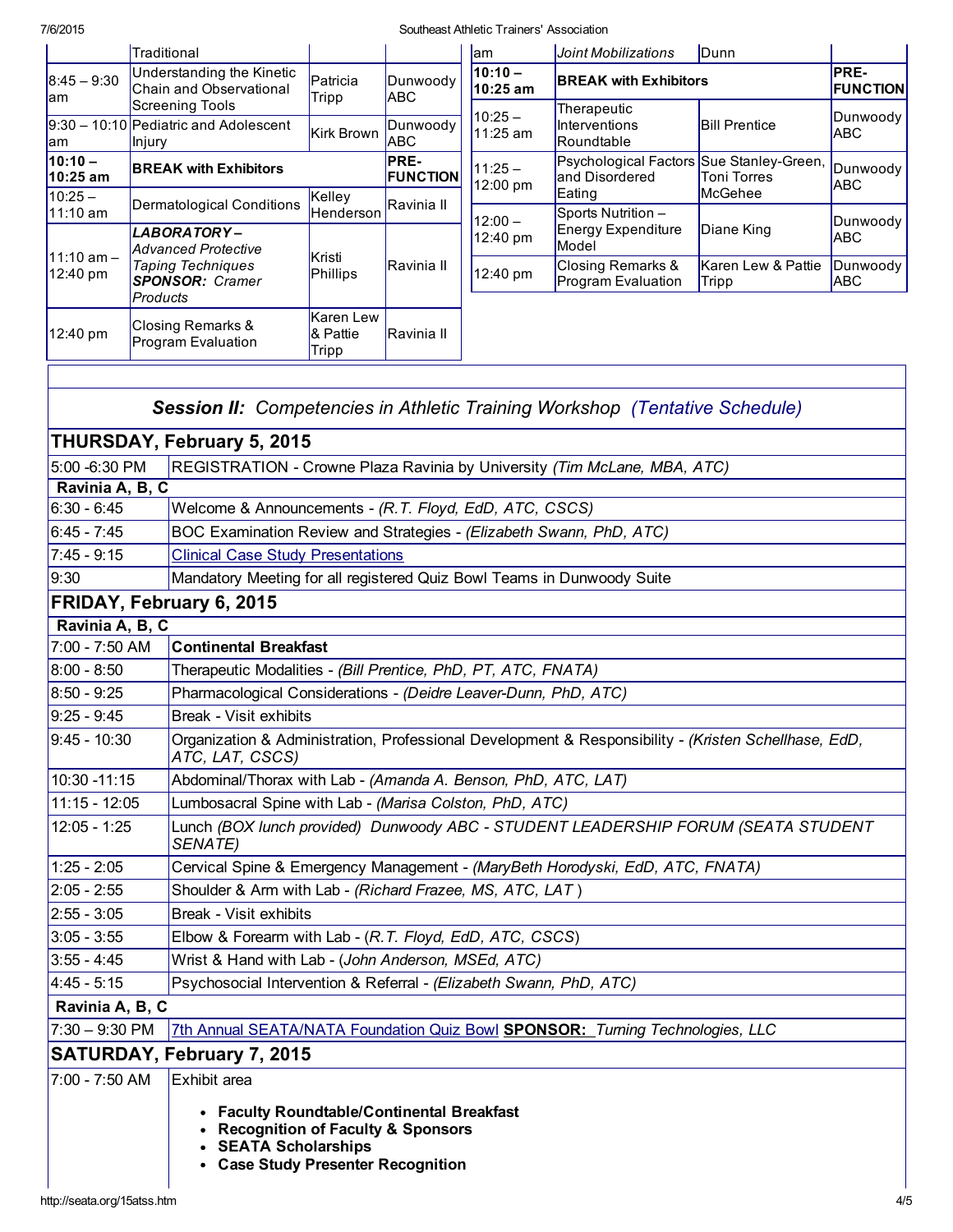<span id="page-3-0"></span>

|                                   | Traditional                             |                                                                                                 |                                                                                                                               |                         | lam                   | Joint Mobilizations                                                                                  | <b>IDunn</b>                                                                                                                                                                                                                                                   |                         |  |  |  |
|-----------------------------------|-----------------------------------------|-------------------------------------------------------------------------------------------------|-------------------------------------------------------------------------------------------------------------------------------|-------------------------|-----------------------|------------------------------------------------------------------------------------------------------|----------------------------------------------------------------------------------------------------------------------------------------------------------------------------------------------------------------------------------------------------------------|-------------------------|--|--|--|
| $8:45 - 9:30$<br>am               |                                         | Understanding the Kinetic<br>Chain and Observational                                            | Patricia<br>Tripp                                                                                                             | Dunwoody<br><b>ABC</b>  | $10:10 -$<br>10:25 am | <b>BREAK with Exhibitors</b>                                                                         |                                                                                                                                                                                                                                                                | PRE-<br><b>FUNCTION</b> |  |  |  |
| am                                | lnjury                                  | <b>Screening Tools</b><br>9:30 - 10:10 Pediatric and Adolescent                                 | Kirk Brown                                                                                                                    | Dunwoody<br><b>ABC</b>  | $10:25 -$<br>11:25 am | Therapeutic<br>Interventions<br>Roundtable                                                           | Dunwoody<br><b>Bill Prentice</b><br><b>ABC</b><br>Psychological Factors Sue Stanley-Green,<br><b>Toni Torres</b><br>McGehee<br>Diane King<br>Karen Lew & Pattie<br>Tripp<br><b>Session II:</b> Competencies in Athletic Training Workshop (Tentative Schedule) |                         |  |  |  |
| $10:10 -$<br>10:25 am             |                                         | <b>BREAK with Exhibitors</b>                                                                    |                                                                                                                               | PRE-<br><b>FUNCTION</b> | $11:25 -$<br>12:00 pm | and Disordered                                                                                       |                                                                                                                                                                                                                                                                | Dunwoody<br>ABC         |  |  |  |
| $10:25 -$<br>11:10 am             |                                         | <b>Dermatological Conditions</b>                                                                | Kelley<br>Henderson                                                                                                           | Ravinia II              |                       | Eating<br>Sports Nutrition -                                                                         |                                                                                                                                                                                                                                                                |                         |  |  |  |
|                                   |                                         | LABORATORY-<br><b>Advanced Protective</b>                                                       |                                                                                                                               |                         | $12:00 -$<br>12:40 pm | Energy Expenditure<br>Model                                                                          |                                                                                                                                                                                                                                                                | Dunwoody<br><b>ABC</b>  |  |  |  |
| $11:10$ am $-$<br>12:40 pm        | Products                                | <b>Taping Techniques</b><br><b>SPONSOR: Cramer</b>                                              | Kristi<br>Phillips                                                                                                            | Ravinia II              | 12:40 pm              | Closing Remarks &<br>Program Evaluation                                                              |                                                                                                                                                                                                                                                                | Dunwoody<br>ABC         |  |  |  |
| 12:40 pm                          | Closing Remarks &<br>Program Evaluation |                                                                                                 | Karen Lew<br>& Pattie<br>Tripp                                                                                                | Ravinia II              |                       |                                                                                                      |                                                                                                                                                                                                                                                                |                         |  |  |  |
|                                   |                                         |                                                                                                 |                                                                                                                               |                         |                       |                                                                                                      |                                                                                                                                                                                                                                                                |                         |  |  |  |
|                                   |                                         |                                                                                                 |                                                                                                                               |                         |                       |                                                                                                      |                                                                                                                                                                                                                                                                |                         |  |  |  |
|                                   |                                         | THURSDAY, February 5, 2015                                                                      |                                                                                                                               |                         |                       |                                                                                                      |                                                                                                                                                                                                                                                                |                         |  |  |  |
| 5:00 -6:30 PM                     |                                         |                                                                                                 |                                                                                                                               |                         |                       | REGISTRATION - Crowne Plaza Ravinia by University (Tim McLane, MBA, ATC)                             |                                                                                                                                                                                                                                                                |                         |  |  |  |
| Ravinia A, B, C                   |                                         |                                                                                                 |                                                                                                                               |                         |                       |                                                                                                      |                                                                                                                                                                                                                                                                |                         |  |  |  |
| $6:30 - 6:45$                     |                                         |                                                                                                 | Welcome & Announcements - (R.T. Floyd, EdD, ATC, CSCS)<br>BOC Examination Review and Strategies - (Elizabeth Swann, PhD, ATC) |                         |                       |                                                                                                      |                                                                                                                                                                                                                                                                |                         |  |  |  |
| $6:45 - 7:45$                     |                                         |                                                                                                 |                                                                                                                               |                         |                       |                                                                                                      |                                                                                                                                                                                                                                                                |                         |  |  |  |
| $7:45 - 9:15$                     |                                         | <b>Clinical Case Study Presentations</b>                                                        |                                                                                                                               |                         |                       |                                                                                                      |                                                                                                                                                                                                                                                                |                         |  |  |  |
| 9:30                              |                                         | Mandatory Meeting for all registered Quiz Bowl Teams in Dunwoody Suite                          |                                                                                                                               |                         |                       |                                                                                                      |                                                                                                                                                                                                                                                                |                         |  |  |  |
|                                   |                                         | FRIDAY, February 6, 2015                                                                        |                                                                                                                               |                         |                       |                                                                                                      |                                                                                                                                                                                                                                                                |                         |  |  |  |
| Ravinia A, B, C<br>7:00 - 7:50 AM |                                         | <b>Continental Breakfast</b>                                                                    |                                                                                                                               |                         |                       |                                                                                                      |                                                                                                                                                                                                                                                                |                         |  |  |  |
| $8:00 - 8:50$                     |                                         | Therapeutic Modalities - (Bill Prentice, PhD, PT, ATC, FNATA)                                   |                                                                                                                               |                         |                       |                                                                                                      |                                                                                                                                                                                                                                                                |                         |  |  |  |
| $8:50 - 9:25$                     |                                         | Pharmacological Considerations - (Deidre Leaver-Dunn, PhD, ATC)                                 |                                                                                                                               |                         |                       |                                                                                                      |                                                                                                                                                                                                                                                                |                         |  |  |  |
| $9:25 - 9:45$                     |                                         | Break - Visit exhibits                                                                          |                                                                                                                               |                         |                       |                                                                                                      |                                                                                                                                                                                                                                                                |                         |  |  |  |
| $9:45 - 10:30$                    |                                         | ATC, LAT, CSCS)                                                                                 |                                                                                                                               |                         |                       | Organization & Administration, Professional Development & Responsibility - (Kristen Schellhase, EdD, |                                                                                                                                                                                                                                                                |                         |  |  |  |
| 10:30 -11:15                      |                                         | Abdominal/Thorax with Lab - (Amanda A. Benson, PhD, ATC, LAT)                                   |                                                                                                                               |                         |                       |                                                                                                      |                                                                                                                                                                                                                                                                |                         |  |  |  |
| 11:15 - 12:05                     |                                         | Lumbosacral Spine with Lab - (Marisa Colston, PhD, ATC)                                         |                                                                                                                               |                         |                       |                                                                                                      |                                                                                                                                                                                                                                                                |                         |  |  |  |
| $12:05 - 1:25$                    |                                         | SENATE)                                                                                         |                                                                                                                               |                         |                       | Lunch (BOX lunch provided) Dunwoody ABC - STUDENT LEADERSHIP FORUM (SEATA STUDENT                    |                                                                                                                                                                                                                                                                |                         |  |  |  |
| $1:25 - 2:05$                     |                                         |                                                                                                 |                                                                                                                               |                         |                       | Cervical Spine & Emergency Management - (MaryBeth Horodyski, EdD, ATC, FNATA)                        |                                                                                                                                                                                                                                                                |                         |  |  |  |
| $2:05 - 2:55$                     |                                         | Shoulder & Arm with Lab - (Richard Frazee, MS, ATC, LAT)                                        |                                                                                                                               |                         |                       |                                                                                                      |                                                                                                                                                                                                                                                                |                         |  |  |  |
| $2:55 - 3:05$                     |                                         | Break - Visit exhibits                                                                          |                                                                                                                               |                         |                       |                                                                                                      |                                                                                                                                                                                                                                                                |                         |  |  |  |
| $3:05 - 3:55$                     |                                         | Elbow & Forearm with Lab - (R.T. Floyd, EdD, ATC, CSCS)                                         |                                                                                                                               |                         |                       |                                                                                                      |                                                                                                                                                                                                                                                                |                         |  |  |  |
| $3:55 - 4:45$                     |                                         | Wrist & Hand with Lab - (John Anderson, MSEd, ATC)                                              |                                                                                                                               |                         |                       |                                                                                                      |                                                                                                                                                                                                                                                                |                         |  |  |  |
| $4:45 - 5:15$                     |                                         | Psychosocial Intervention & Referral - (Elizabeth Swann, PhD, ATC)                              |                                                                                                                               |                         |                       |                                                                                                      |                                                                                                                                                                                                                                                                |                         |  |  |  |
| Ravinia A, B, C                   |                                         |                                                                                                 |                                                                                                                               |                         |                       |                                                                                                      |                                                                                                                                                                                                                                                                |                         |  |  |  |
| 7:30 - 9:30 PM                    |                                         |                                                                                                 |                                                                                                                               |                         |                       | 7th Annual SEATA/NATA Foundation Quiz Bowl SPONSOR: Turning Technologies, LLC                        |                                                                                                                                                                                                                                                                |                         |  |  |  |
|                                   |                                         | <b>SATURDAY, February 7, 2015</b>                                                               |                                                                                                                               |                         |                       |                                                                                                      |                                                                                                                                                                                                                                                                |                         |  |  |  |
| 7:00 - 7:50 AM                    |                                         | Exhibit area                                                                                    |                                                                                                                               |                         |                       |                                                                                                      |                                                                                                                                                                                                                                                                |                         |  |  |  |
|                                   |                                         | <b>Faculty Roundtable/Continental Breakfast</b><br><b>Recognition of Faculty &amp; Sponsors</b> |                                                                                                                               |                         |                       |                                                                                                      |                                                                                                                                                                                                                                                                |                         |  |  |  |

- SEATA Scholarships
- Case Study Presenter Recognition